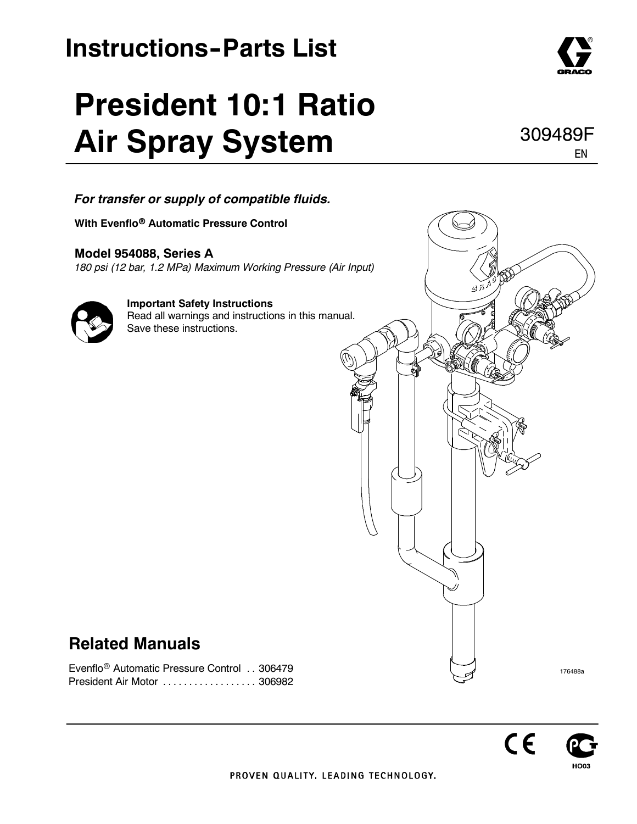# **Instructions-Parts List**

# **President 10:1 Ratio Air Spray System**



**With Evenflo<sup>®</sup> Automatic Pressure Control** 

**Model 954088, Series A** *180 psi (12 bar, 1.2 MPa) Maximum Working Pressure (Air Input)*



**Important Safety Instructions** Read all warnings and instructions in this manual. Save these instructions.

### **Related Manuals**

Evenflo<sup>®</sup> Automatic Pressure Control . . 306479 President Air Motor ........................... 306982





EN

309489F



нооз

 $C \epsilon$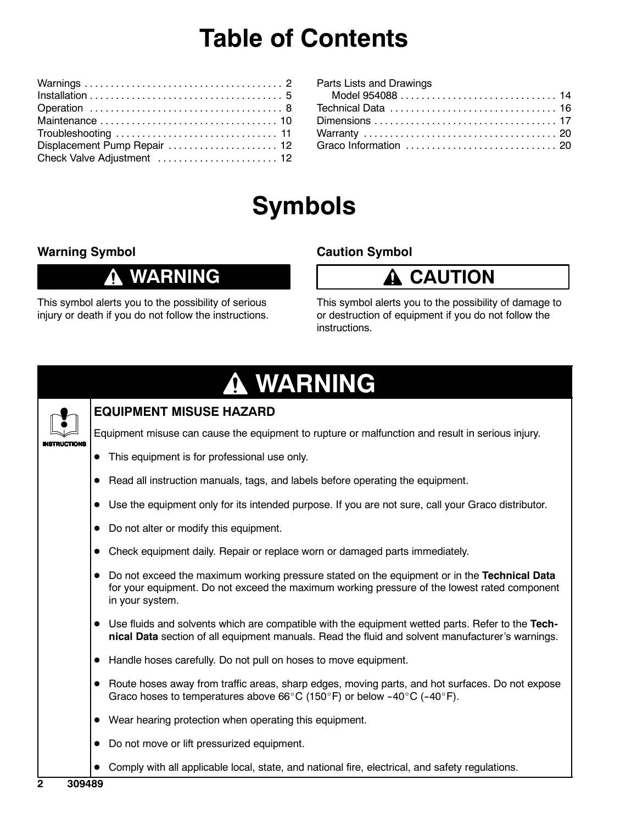## **Table of Contents**

| Displacement Pump Repair  12 |
|------------------------------|
| Check Valve Adjustment  12   |

| Parts Lists and Drawings |  |
|--------------------------|--|
|                          |  |
|                          |  |
|                          |  |
|                          |  |
| Graco Information  20    |  |
|                          |  |

## **Symbols**

#### **Warning Symbol**

### **WARNING**

This symbol alerts you to the possibility of serious injury or death if you do not follow the instructions.

#### **Caution Symbol**

### **CAUTION**

This symbol alerts you to the possibility of damage to or destruction of equipment if you do not follow the instructions.

# **WARNING**



#### **EQUIPMENT MISUSE HAZARD**

Equipment misuse can cause the equipment to rupture or malfunction and result in serious injury.

- This equipment is for professional use only.
- Read all instruction manuals, tags, and labels before operating the equipment.
- Use the equipment only for its intended purpose. If you are not sure, call your Graco distributor.
- Do not alter or modify this equipment.
- Check equipment daily. Repair or replace worn or damaged parts immediately.
- Do not exceed the maximum working pressure stated on the equipment or in the Technical Data for your equipment. Do not exceed the maximum working pressure of the lowest rated component in your system.
- Use fluids and solvents which are compatible with the equipment wetted parts. Refer to the Tech**nical Data** section of all equipment manuals. Read the fluid and solvent manufacturer's warnings.
- $\bullet$  Handle hoses carefully. Do not pull on hoses to move equipment.
- $\bullet$  Route hoses away from traffic areas, sharp edges, moving parts, and hot surfaces. Do not expose Graco hoses to temperatures above 66°C (150°F) or below -40°C (-40°F).
- $\bullet$  Wear hearing protection when operating this equipment.
- Do not move or lift pressurized equipment.
- Comply with all applicable local, state, and national fire, electrical, and safety regulations.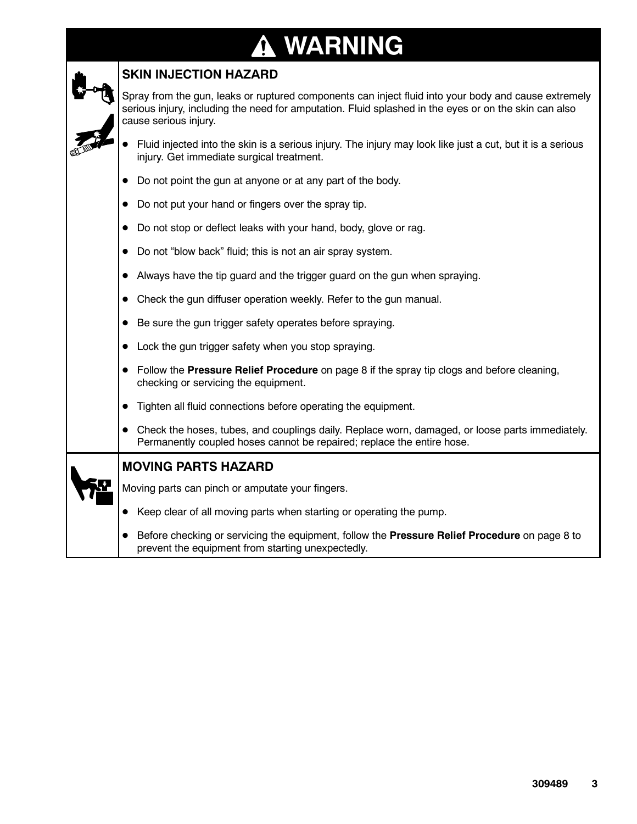# **WARNING**

| , WARNING<br>' ! \                                                                                                                                                                                                                     |
|----------------------------------------------------------------------------------------------------------------------------------------------------------------------------------------------------------------------------------------|
| <b>SKIN INJECTION HAZARD</b>                                                                                                                                                                                                           |
| Spray from the gun, leaks or ruptured components can inject fluid into your body and cause extremely<br>serious injury, including the need for amputation. Fluid splashed in the eyes or on the skin can also<br>cause serious injury. |
| Fluid injected into the skin is a serious injury. The injury may look like just a cut, but it is a serious<br>injury. Get immediate surgical treatment.                                                                                |
| Do not point the gun at anyone or at any part of the body.                                                                                                                                                                             |
| Do not put your hand or fingers over the spray tip.                                                                                                                                                                                    |
| • Do not stop or deflect leaks with your hand, body, glove or rag.                                                                                                                                                                     |
| Do not "blow back" fluid; this is not an air spray system.                                                                                                                                                                             |
| Always have the tip guard and the trigger guard on the gun when spraying.                                                                                                                                                              |
| Check the gun diffuser operation weekly. Refer to the gun manual.                                                                                                                                                                      |
| Be sure the gun trigger safety operates before spraying.                                                                                                                                                                               |
| Lock the gun trigger safety when you stop spraying.                                                                                                                                                                                    |
| • Follow the Pressure Relief Procedure on page 8 if the spray tip clogs and before cleaning,<br>checking or servicing the equipment.                                                                                                   |
| Tighten all fluid connections before operating the equipment.                                                                                                                                                                          |
| • Check the hoses, tubes, and couplings daily. Replace worn, damaged, or loose parts immediately.<br>Permanently coupled hoses cannot be repaired; replace the entire hose.                                                            |
| <b>MOVING PARTS HAZARD</b>                                                                                                                                                                                                             |
| Moving parts can pinch or amputate your fingers.                                                                                                                                                                                       |
| Keep clear of all moving parts when starting or operating the pump.                                                                                                                                                                    |

 $\bullet$  Before checking or servicing the equipment, follow the **Pressure Relief Procedure** on page 8 to prevent the equipment from starting unexpectedly.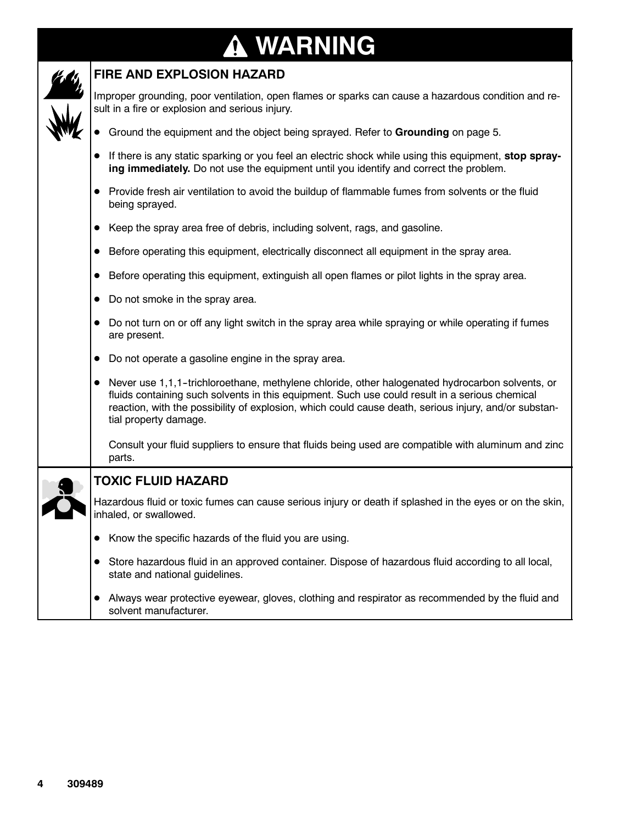# **WARNING**



#### **FIRE AND EXPLOSION HAZARD**

Improper grounding, poor ventilation, open flames or sparks can cause a hazardous condition and result in a fire or explosion and serious injury.

- **•** Ground the equipment and the object being sprayed. Refer to Grounding on page 5.
- If there is any static sparking or you feel an electric shock while using this equipment, **stop spraying immediately.** Do not use the equipment until you identify and correct the problem.
- Provide fresh air ventilation to avoid the buildup of flammable fumes from solvents or the fluid being sprayed.
- Keep the spray area free of debris, including solvent, rags, and gasoline.
- **•** Before operating this equipment, electrically disconnect all equipment in the spray area.
- Before operating this equipment, extinguish all open flames or pilot lights in the spray area.
- Do not smoke in the spray area.
- Do not turn on or off any light switch in the spray area while spraying or while operating if fumes are present.
- Do not operate a gasoline engine in the spray area.
- Never use 1,1,1-trichloroethane, methylene chloride, other halogenated hydrocarbon solvents, or fluids containing such solvents in this equipment. Such use could result in a serious chemical reaction, with the possibility of explosion, which could cause death, serious injury, and/or substantial property damage.

Consult your fluid suppliers to ensure that fluids being used are compatible with aluminum and zinc parts.

- **TOXIC FLUID HAZARD** Hazardous fluid or toxic fumes can cause serious injury or death if splashed in the eyes or on the skin, inhaled, or swallowed. • Know the specific hazards of the fluid you are using.
	- Store hazardous fluid in an approved container. Dispose of hazardous fluid according to all local, state and national guidelines.
	- Always wear protective eyewear, gloves, clothing and respirator as recommended by the fluid and solvent manufacturer.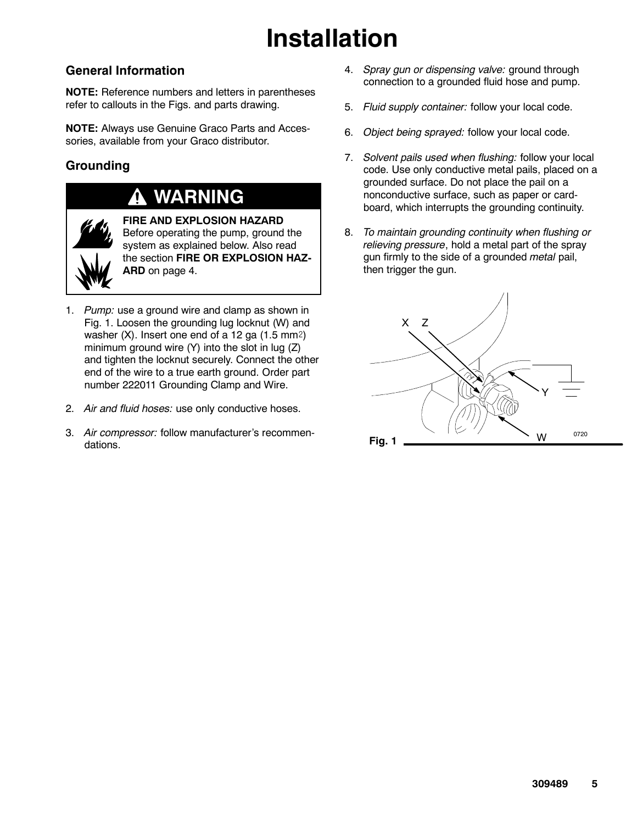# **Installation**

#### **General Information**

**NOTE:** Reference numbers and letters in parentheses refer to callouts in the Figs. and parts drawing.

**NOTE:** Always use Genuine Graco Parts and Accessories, available from your Graco distributor.

#### **Grounding**

### **WARNING**



**FIRE AND EXPLOSION HAZARD** Before operating the pump, ground the system as explained below. Also read the section **FIRE OR EXPLOSION HAZ-ARD** on page 4.

- 1. *Pump:* use a ground wire and clamp as shown in Fig. 1. Loosen the grounding lug locknut (W) and washer  $(X)$ . Insert one end of a 12 ga  $(1.5 \text{ mm}^2)$ minimum ground wire (Y) into the slot in lug (Z) and tighten the locknut securely. Connect the other end of the wire to a true earth ground. Order part number 222011 Grounding Clamp and Wire.
- 2. *Air and fluid hoses:* use only conductive hoses.
- 3. *Air compressor:* follow manufacturer's recommendations.
- 4. *Spray gun or dispensing valve:* ground through connection to a grounded fluid hose and pump.
- 5. *Fluid supply container:* follow your local code.
- 6. *Object being sprayed:* follow your local code.
- 7. *Solvent pails used when flushing:* follow your local code. Use only conductive metal pails, placed on a grounded surface. Do not place the pail on a nonconductive surface, such as paper or cardboard, which interrupts the grounding continuity.
- 8. *To maintain grounding continuity when flushing or relieving pressure*, hold a metal part of the spray gun firmly to the side of a grounded *metal* pail, then trigger the gun.

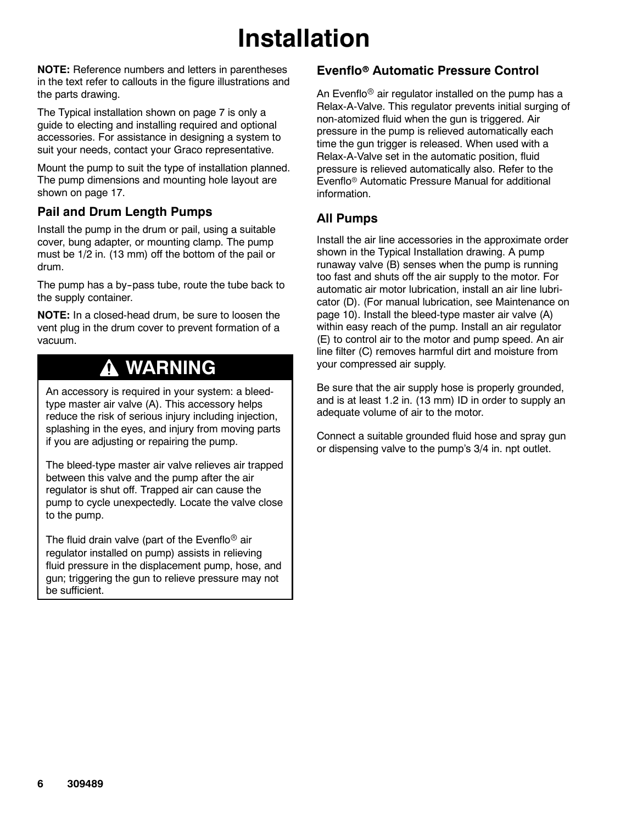# **Installation**

**NOTE:** Reference numbers and letters in parentheses in the text refer to callouts in the figure illustrations and the parts drawing.

The Typical installation shown on page 7 is only a guide to electing and installing required and optional accessories. For assistance in designing a system to suit your needs, contact your Graco representative.

Mount the pump to suit the type of installation planned. The pump dimensions and mounting hole layout are shown on page 17.

#### **Pail and Drum Length Pumps**

Install the pump in the drum or pail, using a suitable cover, bung adapter, or mounting clamp. The pump must be 1/2 in. (13 mm) off the bottom of the pail or drum.

The pump has a by-pass tube, route the tube back to the supply container.

**NOTE:** In a closed-head drum, be sure to loosen the vent plug in the drum cover to prevent formation of a vacuum.

### **WARNING**

An accessory is required in your system: a bleedtype master air valve (A). This accessory helps reduce the risk of serious injury including injection, splashing in the eyes, and injury from moving parts if you are adjusting or repairing the pump.

The bleed-type master air valve relieves air trapped between this valve and the pump after the air regulator is shut off. Trapped air can cause the pump to cycle unexpectedly. Locate the valve close to the pump.

The fluid drain valve (part of the Evenflo<sup>®</sup> air regulator installed on pump) assists in relieving fluid pressure in the displacement pump, hose, and gun; triggering the gun to relieve pressure may not be sufficient.

#### **Evenflo**r **Automatic Pressure Control**

An Evenflo<sup>®</sup> air regulator installed on the pump has a Relax-A-Valve. This regulator prevents initial surging of non-atomized fluid when the gun is triggered. Air pressure in the pump is relieved automatically each time the gun trigger is released. When used with a Relax-A-Valve set in the automatic position, fluid pressure is relieved automatically also. Refer to the Evenflo<sup>®</sup> Automatic Pressure Manual for additional information.

#### **All Pumps**

Install the air line accessories in the approximate order shown in the Typical Installation drawing. A pump runaway valve (B) senses when the pump is running too fast and shuts off the air supply to the motor. For automatic air motor lubrication, install an air line lubricator (D). (For manual lubrication, see Maintenance on page 10). Install the bleed-type master air valve (A) within easy reach of the pump. Install an air regulator (E) to control air to the motor and pump speed. An air line filter (C) removes harmful dirt and moisture from your compressed air supply.

Be sure that the air supply hose is properly grounded, and is at least 1.2 in. (13 mm) ID in order to supply an adequate volume of air to the motor.

Connect a suitable grounded fluid hose and spray gun or dispensing valve to the pump's 3/4 in. npt outlet.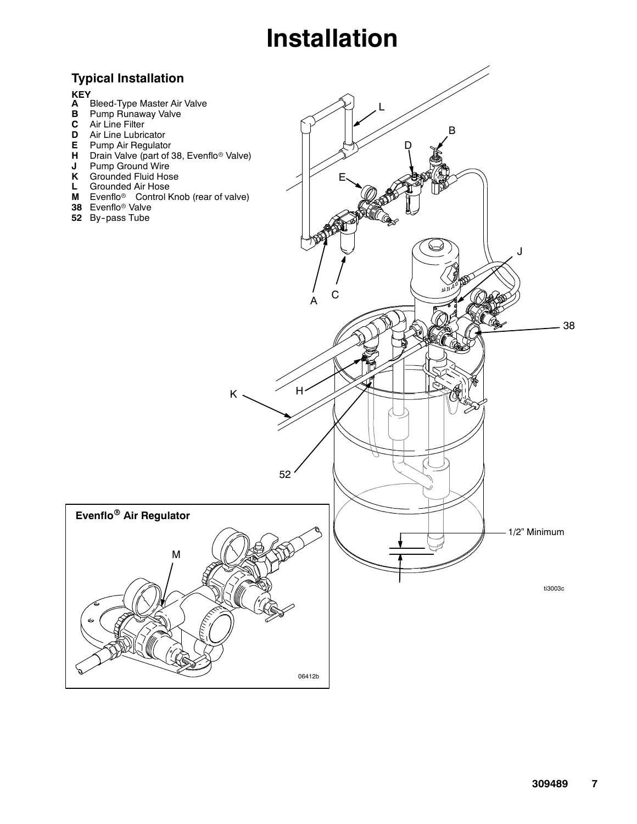# **Installation**

#### **Typical Installation**

#### **KEY**

- **A**
- **B** Pump Runaway Valve
- **C** Air Line Filter
- **D** Air Line Lubricator
- **E** Pump Air Regulator
- **H** Drain Valve (part of 38, Evenflo<sup>®</sup> Valve)
- **J** Pump Ground Wire
- **K** Grounded Fluid Hose
- **L** Grounded Air Hose
- **M** Evenflo<sup>®</sup> Control Knob (rear of valve)
- **38**
- **52** By-pass Tube

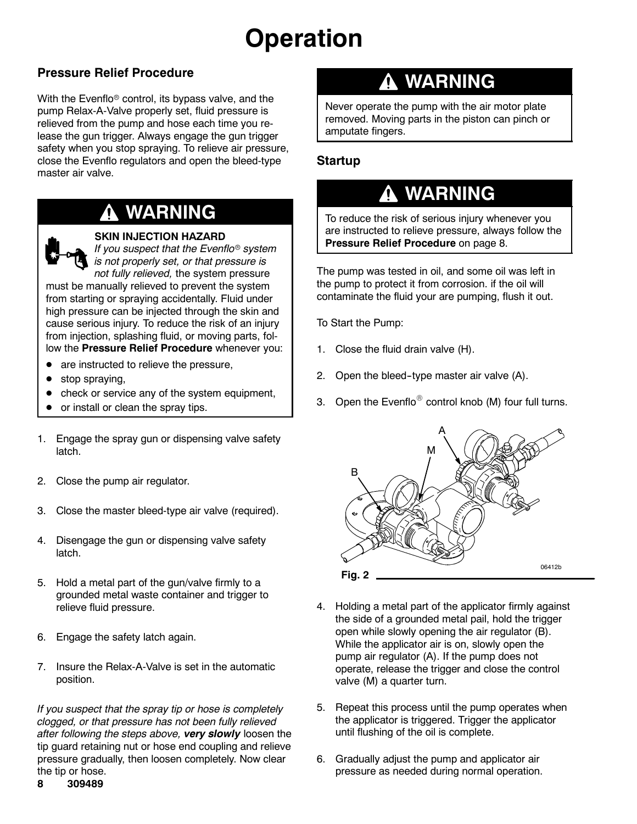# **Operation**

#### **Pressure Relief Procedure**

With the Evenflo<sup>®</sup> control, its bypass valve, and the pump Relax-A-Valve properly set, fluid pressure is relieved from the pump and hose each time you release the gun trigger. Always engage the gun trigger safety when you stop spraying. To relieve air pressure, close the Evenflo regulators and open the bleed-type master air valve.

### **WARNING**

#### **SKIN INJECTION HAZARD**

*If you suspect that the Evenflo<sup>®</sup> system is not properly set, or that pressure is not fully relieved,* the system pressure

must be manually relieved to prevent the system from starting or spraying accidentally. Fluid under high pressure can be injected through the skin and cause serious injury. To reduce the risk of an injury from injection, splashing fluid, or moving parts, follow the **Pressure Relief Procedure** whenever you:

- are instructed to relieve the pressure,
- stop spraying,
- check or service any of the system equipment,
- or install or clean the spray tips.
- 1. Engage the spray gun or dispensing valve safety latch.
- 2. Close the pump air regulator.
- 3. Close the master bleed-type air valve (required).
- 4. Disengage the gun or dispensing valve safety latch.
- 5. Hold a metal part of the gun/valve firmly to a grounded metal waste container and trigger to relieve fluid pressure.
- 6. Engage the safety latch again.
- 7. Insure the Relax-A-Valve is set in the automatic position.

*If you suspect that the spray tip or hose is completely clogged, or that pressure has not been fully relieved after following the steps above, very slowly* loosen the tip guard retaining nut or hose end coupling and relieve pressure gradually, then loosen completely. Now clear the tip or hose.

#### **8 309489**

### **WARNING**

Never operate the pump with the air motor plate removed. Moving parts in the piston can pinch or amputate fingers.

#### **Startup**

### **WARNING**

To reduce the risk of serious injury whenever you are instructed to relieve pressure, always follow the **Pressure Relief Procedure** on page 8.

The pump was tested in oil, and some oil was left in the pump to protect it from corrosion. if the oil will contaminate the fluid your are pumping, flush it out.

To Start the Pump:

- 1. Close the fluid drain valve (H).
- 2. Open the bleed-type master air valve (A).
- 3. Open the Evenflo<sup>®</sup> control knob (M) four full turns.



- 4. Holding a metal part of the applicator firmly against the side of a grounded metal pail, hold the trigger open while slowly opening the air regulator (B). While the applicator air is on, slowly open the pump air regulator (A). If the pump does not operate, release the trigger and close the control valve (M) a quarter turn.
- 5. Repeat this process until the pump operates when the applicator is triggered. Trigger the applicator until flushing of the oil is complete.
- 6. Gradually adjust the pump and applicator air pressure as needed during normal operation.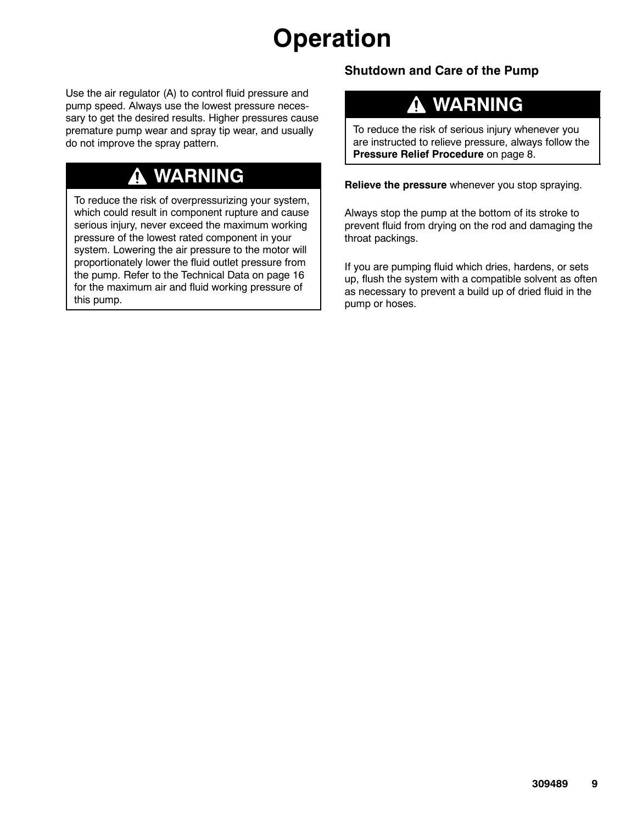# **Operation**

Use the air regulator (A) to control fluid pressure and pump speed. Always use the lowest pressure necessary to get the desired results. Higher pressures cause premature pump wear and spray tip wear, and usually do not improve the spray pattern.

### **WARNING**

To reduce the risk of overpressurizing your system, which could result in component rupture and cause serious injury, never exceed the maximum working pressure of the lowest rated component in your system. Lowering the air pressure to the motor will proportionately lower the fluid outlet pressure from the pump. Refer to the Technical Data on page 16 for the maximum air and fluid working pressure of this pump.

#### **Shutdown and Care of the Pump**

#### **WARNING** Δ

To reduce the risk of serious injury whenever you are instructed to relieve pressure, always follow the **Pressure Relief Procedure** on page 8.

**Relieve the pressure** whenever you stop spraying.

Always stop the pump at the bottom of its stroke to prevent fluid from drying on the rod and damaging the throat packings.

If you are pumping fluid which dries, hardens, or sets up, flush the system with a compatible solvent as often as necessary to prevent a build up of dried fluid in the pump or hoses.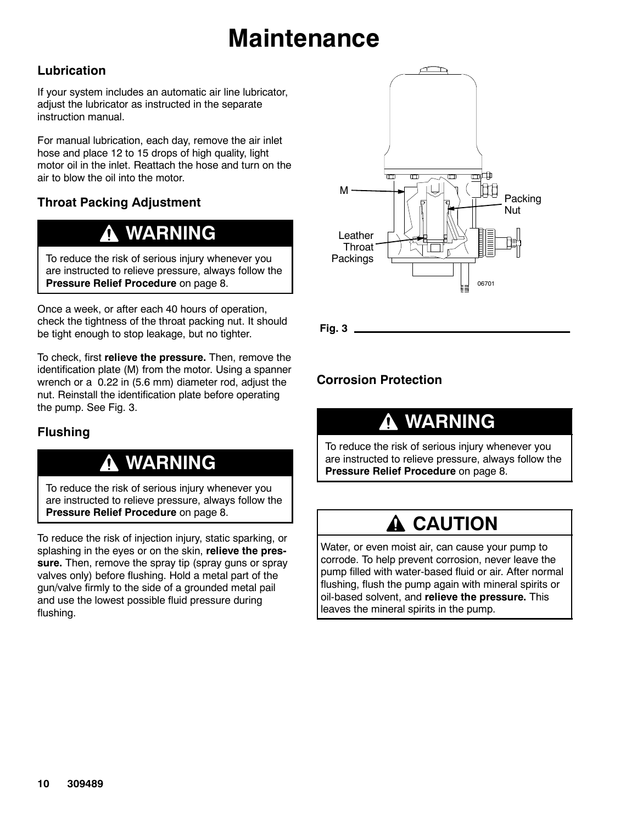# **Maintenance**

#### **Lubrication**

If your system includes an automatic air line lubricator, adjust the lubricator as instructed in the separate instruction manual.

For manual lubrication, each day, remove the air inlet hose and place 12 to 15 drops of high quality, light motor oil in the inlet. Reattach the hose and turn on the air to blow the oil into the motor.

#### **Throat Packing Adjustment**

### **WARNING**

To reduce the risk of serious injury whenever you are instructed to relieve pressure, always follow the **Pressure Relief Procedure** on page 8.

Once a week, or after each 40 hours of operation, check the tightness of the throat packing nut. It should be tight enough to stop leakage, but no tighter.

To check, first **relieve the pressure.** Then, remove the identification plate (M) from the motor. Using a spanner wrench or a 0.22 in (5.6 mm) diameter rod, adjust the nut. Reinstall the identification plate before operating the pump. See Fig. 3.

#### **Flushing**

### **WARNING**

To reduce the risk of serious injury whenever you are instructed to relieve pressure, always follow the **Pressure Relief Procedure** on page 8.

To reduce the risk of injection injury, static sparking, or splashing in the eyes or on the skin, **relieve the pressure.** Then, remove the spray tip (spray guns or spray valves only) before flushing. Hold a metal part of the gun/valve firmly to the side of a grounded metal pail and use the lowest possible fluid pressure during flushing.



**Fig. 3**

#### **Corrosion Protection**

### **WARNING**

To reduce the risk of serious injury whenever you are instructed to relieve pressure, always follow the **Pressure Relief Procedure** on page 8.

### **A CAUTION**

Water, or even moist air, can cause your pump to corrode. To help prevent corrosion, never leave the pump filled with water-based fluid or air. After normal flushing, flush the pump again with mineral spirits or oil-based solvent, and **relieve the pressure.** This leaves the mineral spirits in the pump.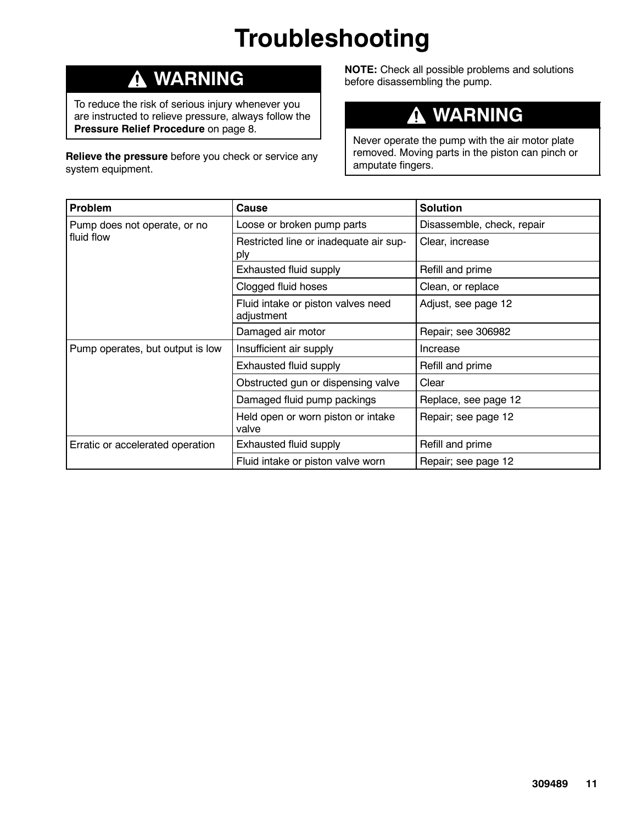# **Troubleshooting**

### **WARNING**

To reduce the risk of serious injury whenever you are instructed to relieve pressure, always follow the **Pressure Relief Procedure** on page 8.

**Relieve the pressure** before you check or service any system equipment.

**NOTE:** Check all possible problems and solutions before disassembling the pump.

#### **WARNING**  $\boldsymbol{\Lambda}$

Never operate the pump with the air motor plate removed. Moving parts in the piston can pinch or amputate fingers.

| Problem                          | Cause                                            | <b>Solution</b>            |
|----------------------------------|--------------------------------------------------|----------------------------|
| Pump does not operate, or no     | Loose or broken pump parts                       | Disassemble, check, repair |
| fluid flow                       | Restricted line or inadequate air sup-<br>ply    | Clear, increase            |
|                                  | Exhausted fluid supply                           | Refill and prime           |
|                                  | Clogged fluid hoses                              | Clean, or replace          |
|                                  | Fluid intake or piston valves need<br>adjustment | Adjust, see page 12        |
|                                  | Damaged air motor                                | Repair; see 306982         |
| Pump operates, but output is low | Insufficient air supply                          | Increase                   |
|                                  | Exhausted fluid supply                           | Refill and prime           |
|                                  | Obstructed gun or dispensing valve               | Clear                      |
|                                  | Damaged fluid pump packings                      | Replace, see page 12       |
|                                  | Held open or worn piston or intake<br>valve      | Repair; see page 12        |
| Erratic or accelerated operation | Exhausted fluid supply                           | Refill and prime           |
|                                  | Fluid intake or piston valve worn                | Repair; see page 12        |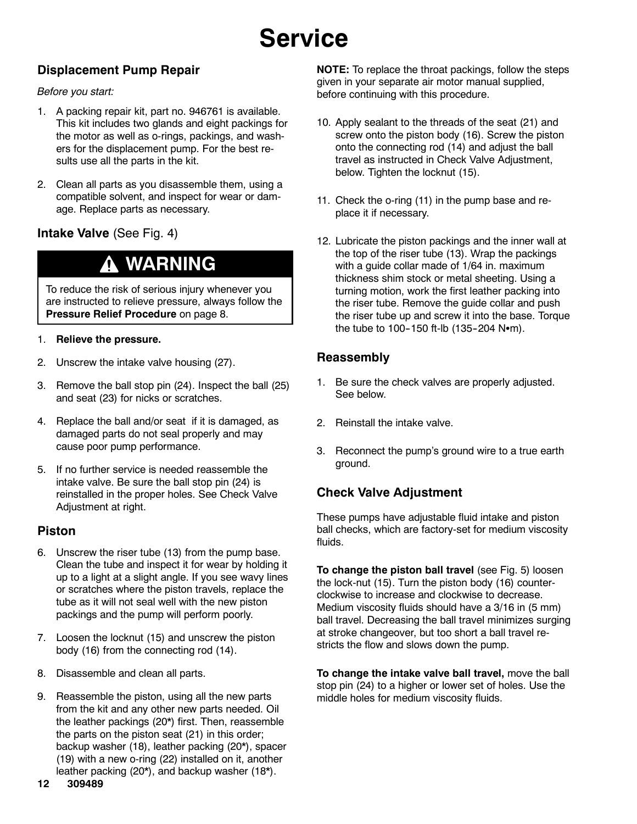# **Service**

#### **Displacement Pump Repair**

#### *Before you start:*

- 1. A packing repair kit, part no. 946761 is available. This kit includes two glands and eight packings for the motor as well as o-rings, packings, and washers for the displacement pump. For the best results use all the parts in the kit.
- 2. Clean all parts as you disassemble them, using a compatible solvent, and inspect for wear or damage. Replace parts as necessary.

#### **Intake Valve** (See Fig. 4)

### **WARNING**

To reduce the risk of serious injury whenever you are instructed to relieve pressure, always follow the **Pressure Relief Procedure** on page 8.

#### 1. **Relieve the pressure.**

- 2. Unscrew the intake valve housing (27).
- 3. Remove the ball stop pin (24). Inspect the ball (25) and seat (23) for nicks or scratches.
- 4. Replace the ball and/or seat if it is damaged, as damaged parts do not seal properly and may cause poor pump performance.
- 5. If no further service is needed reassemble the intake valve. Be sure the ball stop pin (24) is reinstalled in the proper holes. See Check Valve Adjustment at right.

#### **Piston**

- 6. Unscrew the riser tube (13) from the pump base. Clean the tube and inspect it for wear by holding it up to a light at a slight angle. If you see wavy lines or scratches where the piston travels, replace the tube as it will not seal well with the new piston packings and the pump will perform poorly.
- 7. Loosen the locknut (15) and unscrew the piston body (16) from the connecting rod (14).
- 8. Disassemble and clean all parts.
- 9. Reassemble the piston, using all the new parts from the kit and any other new parts needed. Oil the leather packings (20\*) first. Then, reassemble the parts on the piston seat (21) in this order; backup washer (18), leather packing (20\*), spacer (19) with a new o-ring (22) installed on it, another leather packing (20\*), and backup washer (18\*).

**NOTE:** To replace the throat packings, follow the steps given in your separate air motor manual supplied, before continuing with this procedure.

- 10. Apply sealant to the threads of the seat (21) and screw onto the piston body (16). Screw the piston onto the connecting rod (14) and adjust the ball travel as instructed in Check Valve Adjustment, below. Tighten the locknut (15).
- 11. Check the o-ring (11) in the pump base and replace it if necessary.
- 12. Lubricate the piston packings and the inner wall at the top of the riser tube (13). Wrap the packings with a guide collar made of 1/64 in. maximum thickness shim stock or metal sheeting. Using a turning motion, work the first leather packing into the riser tube. Remove the guide collar and push the riser tube up and screw it into the base. Torque the tube to 100-150 ft-lb  $(135-204 \text{ N}\cdot\text{m})$ .

#### **Reassembly**

- 1. Be sure the check valves are properly adjusted. See below.
- 2. Reinstall the intake valve.
- 3. Reconnect the pump's ground wire to a true earth ground.

#### **Check Valve Adjustment**

These pumps have adjustable fluid intake and piston ball checks, which are factory-set for medium viscosity fluids.

**To change the piston ball travel** (see Fig. 5) loosen the lock-nut (15). Turn the piston body (16) counterclockwise to increase and clockwise to decrease. Medium viscosity fluids should have a 3/16 in (5 mm) ball travel. Decreasing the ball travel minimizes surging at stroke changeover, but too short a ball travel restricts the flow and slows down the pump.

**To change the intake valve ball travel,** move the ball stop pin (24) to a higher or lower set of holes. Use the middle holes for medium viscosity fluids.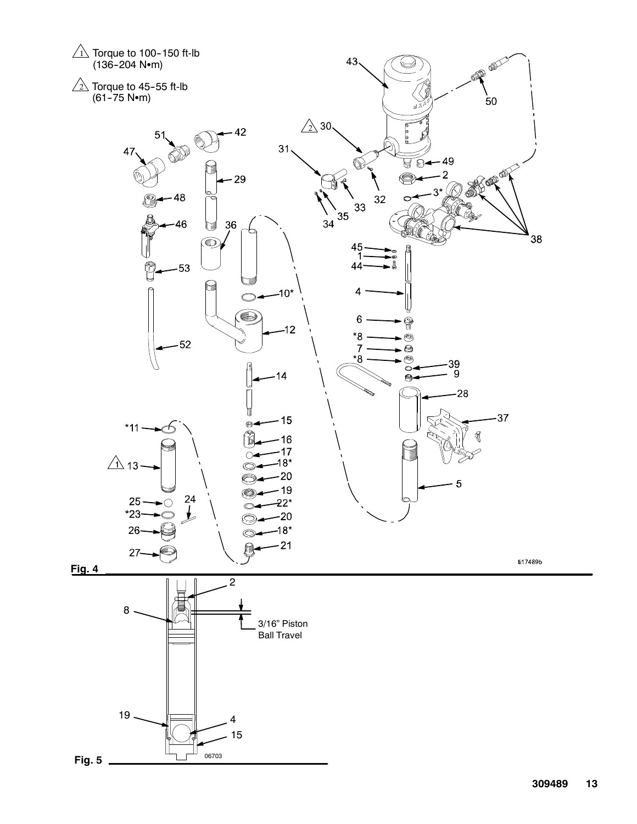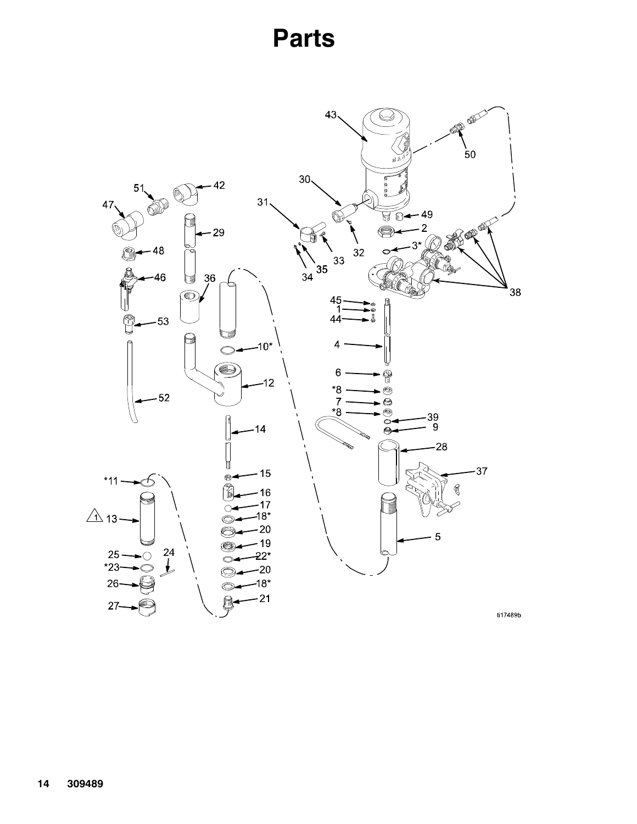## **Parts**

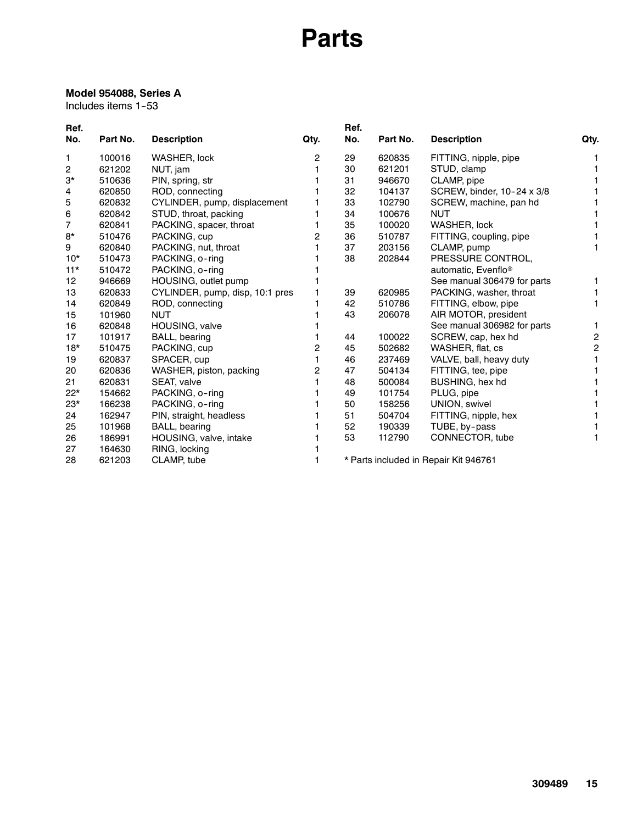## **Parts**

#### **Model 954088, Series A**

Includes items 1-53

| Ref.  |          |                                 |      | Ref. |          |                                       |                |
|-------|----------|---------------------------------|------|------|----------|---------------------------------------|----------------|
| No.   | Part No. | <b>Description</b>              | Qty. | No.  | Part No. | <b>Description</b>                    | Qty.           |
| 1     | 100016   | WASHER, lock                    | 2    | 29   | 620835   | FITTING, nipple, pipe                 |                |
| 2     | 621202   | NUT, jam                        |      | 30   | 621201   | STUD, clamp                           |                |
| 3*    | 510636   | PIN, spring, str                |      | 31   | 946670   | CLAMP, pipe                           |                |
| 4     | 620850   | ROD, connecting                 |      | 32   | 104137   | SCREW, binder, 10-24 x 3/8            |                |
| 5     | 620832   | CYLINDER, pump, displacement    |      | 33   | 102790   | SCREW, machine, pan hd                |                |
| 6     | 620842   | STUD, throat, packing           |      | 34   | 100676   | <b>NUT</b>                            |                |
| 7     | 620841   | PACKING, spacer, throat         |      | 35   | 100020   | <b>WASHER, lock</b>                   |                |
| 8*    | 510476   | PACKING, cup                    | 2    | 36   | 510787   | FITTING, coupling, pipe               |                |
| 9     | 620840   | PACKING, nut, throat            |      | 37   | 203156   | CLAMP, pump                           | 1              |
| $10*$ | 510473   | PACKING, o-ring                 |      | 38   | 202844   | PRESSURE CONTROL,                     |                |
| $11*$ | 510472   | PACKING, o-ring                 |      |      |          | automatic, Evenflo <sup>®</sup>       |                |
| 12    | 946669   | HOUSING, outlet pump            |      |      |          | See manual 306479 for parts           |                |
| 13    | 620833   | CYLINDER, pump, disp, 10:1 pres |      | 39   | 620985   | PACKING, washer, throat               |                |
| 14    | 620849   | ROD, connecting                 |      | 42   | 510786   | FITTING, elbow, pipe                  | 1              |
| 15    | 101960   | <b>NUT</b>                      |      | 43   | 206078   | AIR MOTOR, president                  |                |
| 16    | 620848   | HOUSING, valve                  |      |      |          | See manual 306982 for parts           | 1              |
| 17    | 101917   | BALL, bearing                   |      | 44   | 100022   | SCREW, cap, hex hd                    | $\overline{2}$ |
| $18*$ | 510475   | PACKING, cup                    | 2    | 45   | 502682   | WASHER, flat, cs                      | 2              |
| 19    | 620837   | SPACER, cup                     |      | 46   | 237469   | VALVE, ball, heavy duty               |                |
| 20    | 620836   | WASHER, piston, packing         | 2    | 47   | 504134   | FITTING, tee, pipe                    |                |
| 21    | 620831   | SEAT, valve                     |      | 48   | 500084   | BUSHING, hex hd                       |                |
| $22*$ | 154662   | PACKING, o-ring                 |      | 49   | 101754   | PLUG, pipe                            |                |
| $23*$ | 166238   | PACKING, o-ring                 |      | 50   | 158256   | UNION, swivel                         |                |
| 24    | 162947   | PIN, straight, headless         |      | 51   | 504704   | FITTING, nipple, hex                  |                |
| 25    | 101968   | BALL, bearing                   |      | 52   | 190339   | TUBE, by-pass                         |                |
| 26    | 186991   | HOUSING, valve, intake          |      | 53   | 112790   | CONNECTOR, tube                       |                |
| 27    | 164630   | RING, locking                   |      |      |          |                                       |                |
| 28    | 621203   | CLAMP, tube                     |      |      |          | * Parts included in Repair Kit 946761 |                |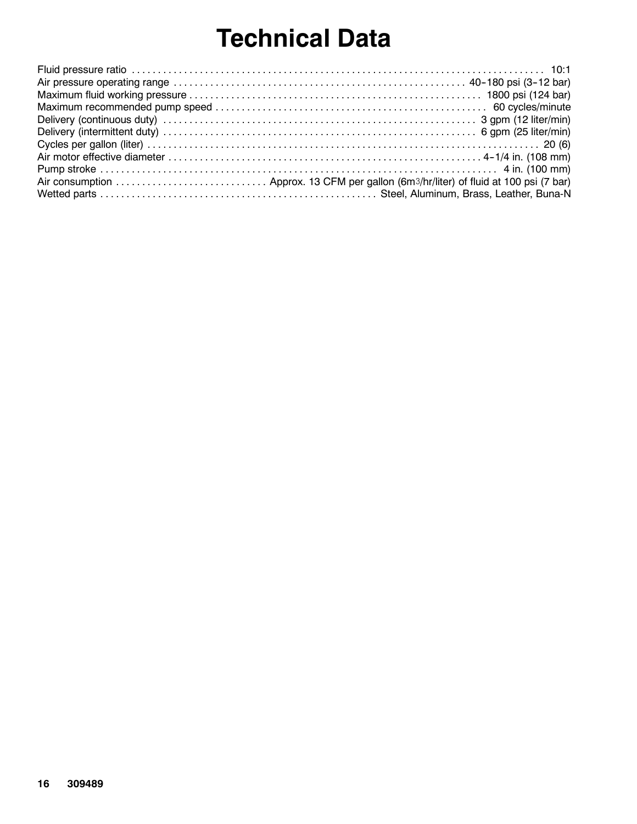# **Technical Data**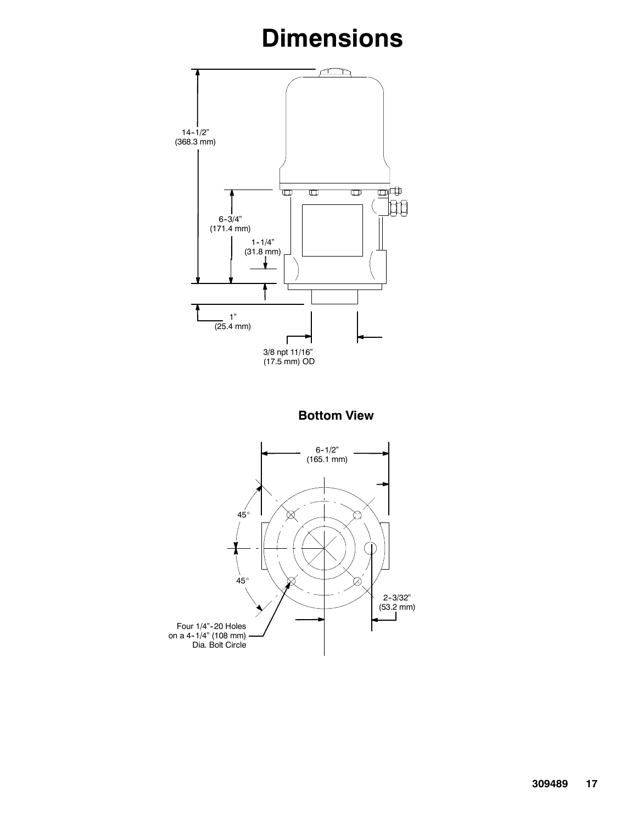# **Dimensions**



**Bottom View**

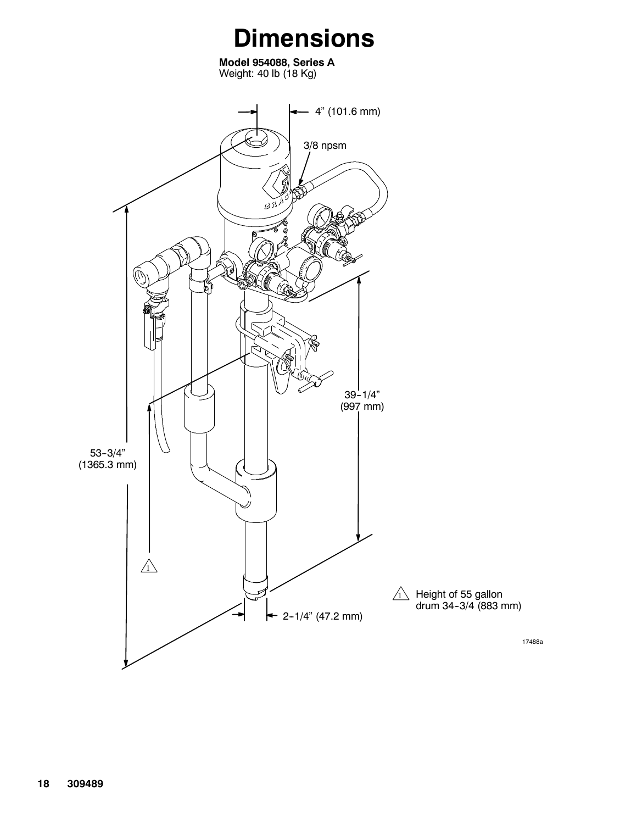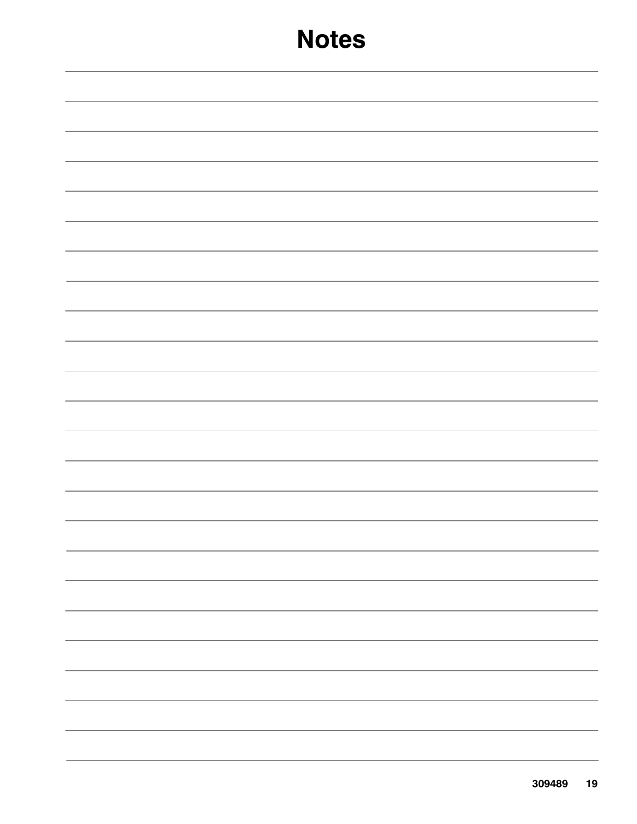## **Notes**